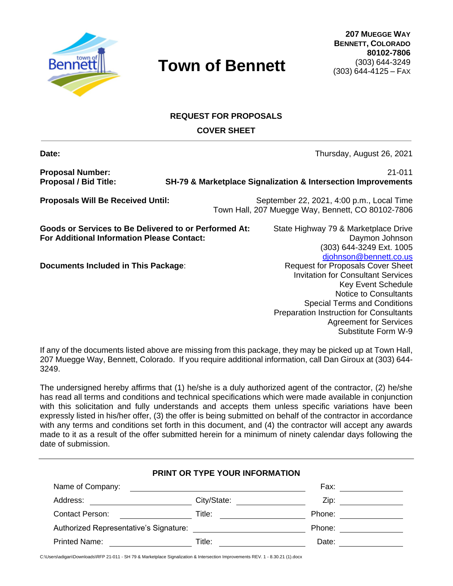

# **REQUEST FOR PROPOSALS**

**COVER SHEET**

**Date:** Thursday, August 26, 2021

**Proposal Number:** 21-011

**Proposal / Bid Title: SH-79 & Marketplace Signalization & Intersection Improvements**

**Proposals Will Be Received Until:** September 22, 2021, 4:00 p.m., Local Time Town Hall, 207 Muegge Way, Bennett, CO 80102-7806

**Goods or Services to Be Delivered to or Performed At:** State Highway 79 & Marketplace Drive **For Additional Information Please Contact:** Daymon Johnson Daymon Johnson

**Documents Included in This Package:** Request for Proposals Cover Sheet

(303) 644-3249 Ext. 1005 [djohnson@bennett.co.us](mailto:djohnson@bennett.co.us) Invitation for Consultant Services Key Event Schedule Notice to Consultants Special Terms and Conditions Preparation Instruction for Consultants Agreement for Services Substitute Form W-9

If any of the documents listed above are missing from this package, they may be picked up at Town Hall, 207 Muegge Way, Bennett, Colorado. If you require additional information, call Dan Giroux at (303) 644- 3249.

The undersigned hereby affirms that (1) he/she is a duly authorized agent of the contractor, (2) he/she has read all terms and conditions and technical specifications which were made available in conjunction with this solicitation and fully understands and accepts them unless specific variations have been expressly listed in his/her offer, (3) the offer is being submitted on behalf of the contractor in accordance with any terms and conditions set forth in this document, and (4) the contractor will accept any awards made to it as a result of the offer submitted herein for a minimum of ninety calendar days following the date of submission.

|                                                             | PRINT OR TYPE YOUR INFORMATION                                                                                       |        |
|-------------------------------------------------------------|----------------------------------------------------------------------------------------------------------------------|--------|
| Name of Company:                                            | <u> 1989 - Jan Samuel Barbara, margaret e populazion del control del control del control del control de la provi</u> | Fax:   |
| Address:                                                    | City/State:                                                                                                          | Zip:   |
| <b>Contact Person:</b><br><u>and the state of the state</u> | Title:                                                                                                               | Phone: |
| Authorized Representative's Signature:                      |                                                                                                                      | Phone: |
| <b>Printed Name:</b>                                        | Title:                                                                                                               | Date:  |

C:\Users\adigan\Downloads\RFP 21-011 - SH 79 & Marketplace Signalization & Intersection Improvements REV. 1 - 8.30.21 (1).docx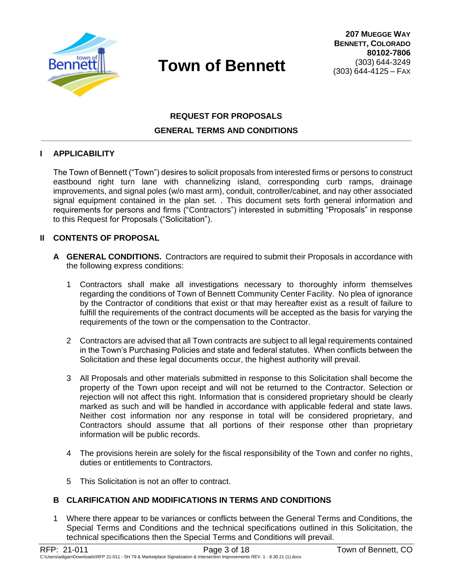

# **REQUEST FOR PROPOSALS GENERAL TERMS AND CONDITIONS**

#### **I APPLICABILITY**

The Town of Bennett ("Town") desires to solicit proposals from interested firms or persons to construct eastbound right turn lane with channelizing island, corresponding curb ramps, drainage improvements, and signal poles (w/o mast arm), conduit, controller/cabinet, and nay other associated signal equipment contained in the plan set. . This document sets forth general information and requirements for persons and firms ("Contractors") interested in submitting "Proposals" in response to this Request for Proposals ("Solicitation").

#### **II CONTENTS OF PROPOSAL**

- **A GENERAL CONDITIONS.** Contractors are required to submit their Proposals in accordance with the following express conditions:
	- 1 Contractors shall make all investigations necessary to thoroughly inform themselves regarding the conditions of Town of Bennett Community Center Facility. No plea of ignorance by the Contractor of conditions that exist or that may hereafter exist as a result of failure to fulfill the requirements of the contract documents will be accepted as the basis for varying the requirements of the town or the compensation to the Contractor.
	- 2 Contractors are advised that all Town contracts are subject to all legal requirements contained in the Town's Purchasing Policies and state and federal statutes. When conflicts between the Solicitation and these legal documents occur, the highest authority will prevail.
	- 3 All Proposals and other materials submitted in response to this Solicitation shall become the property of the Town upon receipt and will not be returned to the Contractor. Selection or rejection will not affect this right. Information that is considered proprietary should be clearly marked as such and will be handled in accordance with applicable federal and state laws. Neither cost information nor any response in total will be considered proprietary, and Contractors should assume that all portions of their response other than proprietary information will be public records.
	- 4 The provisions herein are solely for the fiscal responsibility of the Town and confer no rights, duties or entitlements to Contractors.
	- 5 This Solicitation is not an offer to contract.

#### **B CLARIFICATION AND MODIFICATIONS IN TERMS AND CONDITIONS**

1 Where there appear to be variances or conflicts between the General Terms and Conditions, the Special Terms and Conditions and the technical specifications outlined in this Solicitation, the technical specifications then the Special Terms and Conditions will prevail.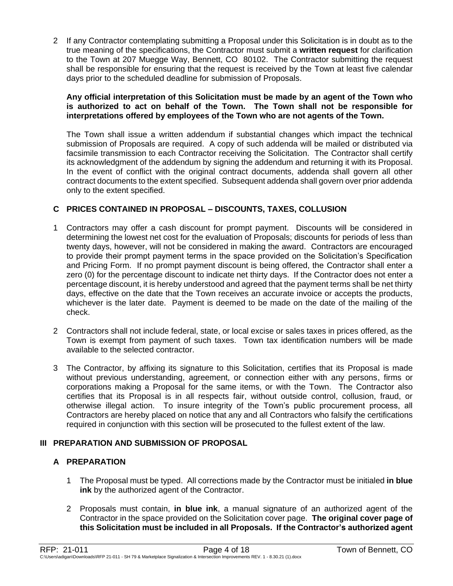2 If any Contractor contemplating submitting a Proposal under this Solicitation is in doubt as to the true meaning of the specifications, the Contractor must submit a **written request** for clarification to the Town at 207 Muegge Way, Bennett, CO 80102. The Contractor submitting the request shall be responsible for ensuring that the request is received by the Town at least five calendar days prior to the scheduled deadline for submission of Proposals.

#### **Any official interpretation of this Solicitation must be made by an agent of the Town who is authorized to act on behalf of the Town. The Town shall not be responsible for interpretations offered by employees of the Town who are not agents of the Town.**

The Town shall issue a written addendum if substantial changes which impact the technical submission of Proposals are required. A copy of such addenda will be mailed or distributed via facsimile transmission to each Contractor receiving the Solicitation. The Contractor shall certify its acknowledgment of the addendum by signing the addendum and returning it with its Proposal. In the event of conflict with the original contract documents, addenda shall govern all other contract documents to the extent specified. Subsequent addenda shall govern over prior addenda only to the extent specified.

## **C PRICES CONTAINED IN PROPOSAL – DISCOUNTS, TAXES, COLLUSION**

- 1 Contractors may offer a cash discount for prompt payment. Discounts will be considered in determining the lowest net cost for the evaluation of Proposals; discounts for periods of less than twenty days, however, will not be considered in making the award. Contractors are encouraged to provide their prompt payment terms in the space provided on the Solicitation's Specification and Pricing Form. If no prompt payment discount is being offered, the Contractor shall enter a zero (0) for the percentage discount to indicate net thirty days. If the Contractor does not enter a percentage discount, it is hereby understood and agreed that the payment terms shall be net thirty days, effective on the date that the Town receives an accurate invoice or accepts the products, whichever is the later date. Payment is deemed to be made on the date of the mailing of the check.
- 2 Contractors shall not include federal, state, or local excise or sales taxes in prices offered, as the Town is exempt from payment of such taxes. Town tax identification numbers will be made available to the selected contractor.
- 3 The Contractor, by affixing its signature to this Solicitation, certifies that its Proposal is made without previous understanding, agreement, or connection either with any persons, firms or corporations making a Proposal for the same items, or with the Town. The Contractor also certifies that its Proposal is in all respects fair, without outside control, collusion, fraud, or otherwise illegal action. To insure integrity of the Town's public procurement process, all Contractors are hereby placed on notice that any and all Contractors who falsify the certifications required in conjunction with this section will be prosecuted to the fullest extent of the law.

## **III PREPARATION AND SUBMISSION OF PROPOSAL**

## **A PREPARATION**

- 1 The Proposal must be typed. All corrections made by the Contractor must be initialed **in blue ink** by the authorized agent of the Contractor.
- 2 Proposals must contain, **in blue ink**, a manual signature of an authorized agent of the Contractor in the space provided on the Solicitation cover page. **The original cover page of this Solicitation must be included in all Proposals. If the Contractor's authorized agent**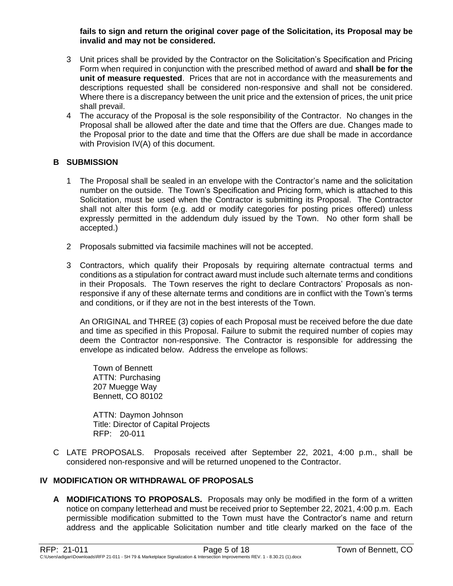**fails to sign and return the original cover page of the Solicitation, its Proposal may be invalid and may not be considered.**

- 3 Unit prices shall be provided by the Contractor on the Solicitation's Specification and Pricing Form when required in conjunction with the prescribed method of award and **shall be for the unit of measure requested**. Prices that are not in accordance with the measurements and descriptions requested shall be considered non-responsive and shall not be considered. Where there is a discrepancy between the unit price and the extension of prices, the unit price shall prevail.
- 4 The accuracy of the Proposal is the sole responsibility of the Contractor. No changes in the Proposal shall be allowed after the date and time that the Offers are due. Changes made to the Proposal prior to the date and time that the Offers are due shall be made in accordance with Provision IV(A) of this document.

#### **B SUBMISSION**

- 1 The Proposal shall be sealed in an envelope with the Contractor's name and the solicitation number on the outside. The Town's Specification and Pricing form, which is attached to this Solicitation, must be used when the Contractor is submitting its Proposal. The Contractor shall not alter this form (e.g. add or modify categories for posting prices offered) unless expressly permitted in the addendum duly issued by the Town. No other form shall be accepted.)
- 2 Proposals submitted via facsimile machines will not be accepted.
- 3 Contractors, which qualify their Proposals by requiring alternate contractual terms and conditions as a stipulation for contract award must include such alternate terms and conditions in their Proposals. The Town reserves the right to declare Contractors' Proposals as nonresponsive if any of these alternate terms and conditions are in conflict with the Town's terms and conditions, or if they are not in the best interests of the Town.

An ORIGINAL and THREE (3) copies of each Proposal must be received before the due date and time as specified in this Proposal. Failure to submit the required number of copies may deem the Contractor non-responsive. The Contractor is responsible for addressing the envelope as indicated below. Address the envelope as follows:

Town of Bennett ATTN: Purchasing 207 Muegge Way Bennett, CO 80102

ATTN: Daymon Johnson Title: Director of Capital Projects RFP: 20-011

C LATE PROPOSALS. Proposals received after September 22, 2021, 4:00 p.m., shall be considered non-responsive and will be returned unopened to the Contractor.

#### **IV MODIFICATION OR WITHDRAWAL OF PROPOSALS**

**A MODIFICATIONS TO PROPOSALS.** Proposals may only be modified in the form of a written notice on company letterhead and must be received prior to September 22, 2021, 4:00 p.m. Each permissible modification submitted to the Town must have the Contractor's name and return address and the applicable Solicitation number and title clearly marked on the face of the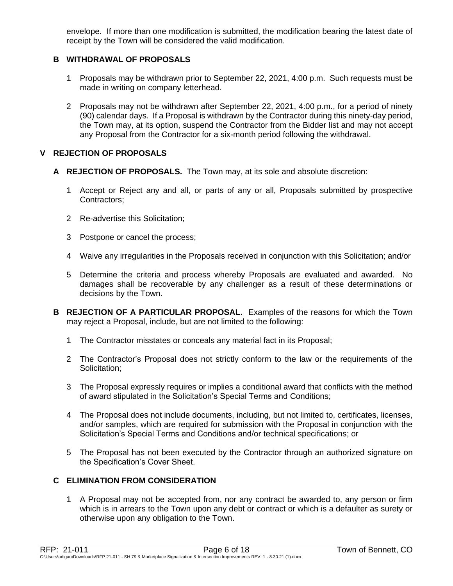envelope. If more than one modification is submitted, the modification bearing the latest date of receipt by the Town will be considered the valid modification.

### **B WITHDRAWAL OF PROPOSALS**

- 1 Proposals may be withdrawn prior to September 22, 2021, 4:00 p.m. Such requests must be made in writing on company letterhead.
- 2 Proposals may not be withdrawn after September 22, 2021, 4:00 p.m., for a period of ninety (90) calendar days. If a Proposal is withdrawn by the Contractor during this ninety-day period, the Town may, at its option, suspend the Contractor from the Bidder list and may not accept any Proposal from the Contractor for a six-month period following the withdrawal.

### **V REJECTION OF PROPOSALS**

- **A REJECTION OF PROPOSALS.** The Town may, at its sole and absolute discretion:
	- 1 Accept or Reject any and all, or parts of any or all, Proposals submitted by prospective Contractors;
	- 2 Re-advertise this Solicitation;
	- 3 Postpone or cancel the process;
	- 4 Waive any irregularities in the Proposals received in conjunction with this Solicitation; and/or
	- 5 Determine the criteria and process whereby Proposals are evaluated and awarded. No damages shall be recoverable by any challenger as a result of these determinations or decisions by the Town.
- **B REJECTION OF A PARTICULAR PROPOSAL.** Examples of the reasons for which the Town may reject a Proposal, include, but are not limited to the following:
	- 1 The Contractor misstates or conceals any material fact in its Proposal;
	- 2 The Contractor's Proposal does not strictly conform to the law or the requirements of the Solicitation:
	- 3 The Proposal expressly requires or implies a conditional award that conflicts with the method of award stipulated in the Solicitation's Special Terms and Conditions;
	- 4 The Proposal does not include documents, including, but not limited to, certificates, licenses, and/or samples, which are required for submission with the Proposal in conjunction with the Solicitation's Special Terms and Conditions and/or technical specifications; or
	- 5 The Proposal has not been executed by the Contractor through an authorized signature on the Specification's Cover Sheet.

### **C ELIMINATION FROM CONSIDERATION**

1 A Proposal may not be accepted from, nor any contract be awarded to, any person or firm which is in arrears to the Town upon any debt or contract or which is a defaulter as surety or otherwise upon any obligation to the Town.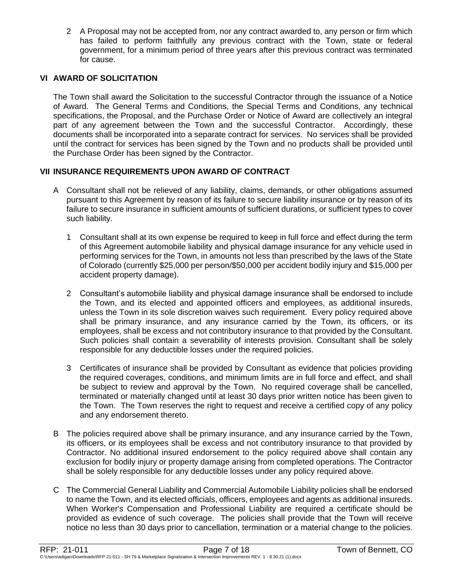2 A Proposal may not be accepted from, nor any contract awarded to, any person or firm which has failed to perform faithfully any previous contract with the Town, state or federal government, for a minimum period of three years after this previous contract was terminated for cause.

### **VI AWARD OF SOLICITATION**

The Town shall award the Solicitation to the successful Contractor through the issuance of a Notice of Award. The General Terms and Conditions, the Special Terms and Conditions, any technical specifications, the Proposal, and the Purchase Order or Notice of Award are collectively an integral part of any agreement between the Town and the successful Contractor. Accordingly, these documents shall be incorporated into a separate contract for services. No services shall be provided until the contract for services has been signed by the Town and no products shall be provided until the Purchase Order has been signed by the Contractor.

### **VII INSURANCE REQUIREMENTS UPON AWARD OF CONTRACT**

- A Consultant shall not be relieved of any liability, claims, demands, or other obligations assumed pursuant to this Agreement by reason of its failure to secure liability insurance or by reason of its failure to secure insurance in sufficient amounts of sufficient durations, or sufficient types to cover such liability.
	- 1 Consultant shall at its own expense be required to keep in full force and effect during the term of this Agreement automobile liability and physical damage insurance for any vehicle used in performing services for the Town, in amounts not less than prescribed by the laws of the State of Colorado (currently \$25,000 per person/\$50,000 per accident bodily injury and \$15,000 per accident property damage).
	- 2 Consultant's automobile liability and physical damage insurance shall be endorsed to include the Town, and its elected and appointed officers and employees, as additional insureds, unless the Town in its sole discretion waives such requirement. Every policy required above shall be primary insurance, and any insurance carried by the Town, its officers, or its employees, shall be excess and not contributory insurance to that provided by the Consultant. Such policies shall contain a severability of interests provision. Consultant shall be solely responsible for any deductible losses under the required policies.
	- 3 Certificates of insurance shall be provided by Consultant as evidence that policies providing the required coverages, conditions, and minimum limits are in full force and effect, and shall be subject to review and approval by the Town. No required coverage shall be cancelled, terminated or materially changed until at least 30 days prior written notice has been given to the Town. The Town reserves the right to request and receive a certified copy of any policy and any endorsement thereto.
- B The policies required above shall be primary insurance, and any insurance carried by the Town, its officers, or its employees shall be excess and not contributory insurance to that provided by Contractor. No additional insured endorsement to the policy required above shall contain any exclusion for bodily injury or property damage arising from completed operations. The Contractor shall be solely responsible for any deductible losses under any policy required above.
- C The Commercial General Liability and Commercial Automobile Liability policies shall be endorsed to name the Town, and its elected officials, officers, employees and agents as additional insureds. When Worker's Compensation and Professional Liability are required a certificate should be provided as evidence of such coverage. The policies shall provide that the Town will receive notice no less than 30 days prior to cancellation, termination or a material change to the policies.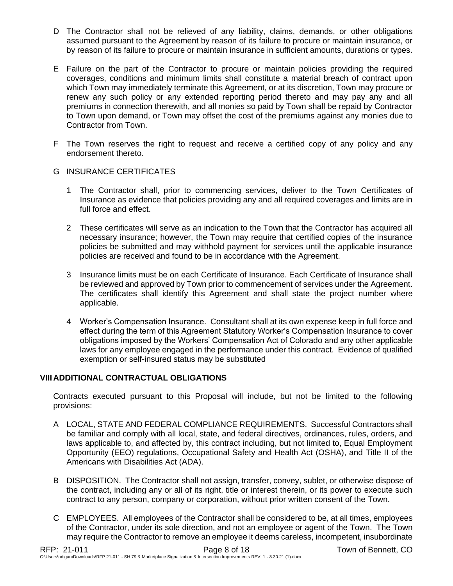- D The Contractor shall not be relieved of any liability, claims, demands, or other obligations assumed pursuant to the Agreement by reason of its failure to procure or maintain insurance, or by reason of its failure to procure or maintain insurance in sufficient amounts, durations or types.
- E Failure on the part of the Contractor to procure or maintain policies providing the required coverages, conditions and minimum limits shall constitute a material breach of contract upon which Town may immediately terminate this Agreement, or at its discretion, Town may procure or renew any such policy or any extended reporting period thereto and may pay any and all premiums in connection therewith, and all monies so paid by Town shall be repaid by Contractor to Town upon demand, or Town may offset the cost of the premiums against any monies due to Contractor from Town.
- F The Town reserves the right to request and receive a certified copy of any policy and any endorsement thereto.
- G INSURANCE CERTIFICATES
	- 1 The Contractor shall, prior to commencing services, deliver to the Town Certificates of Insurance as evidence that policies providing any and all required coverages and limits are in full force and effect.
	- 2 These certificates will serve as an indication to the Town that the Contractor has acquired all necessary insurance; however, the Town may require that certified copies of the insurance policies be submitted and may withhold payment for services until the applicable insurance policies are received and found to be in accordance with the Agreement.
	- 3 Insurance limits must be on each Certificate of Insurance. Each Certificate of Insurance shall be reviewed and approved by Town prior to commencement of services under the Agreement. The certificates shall identify this Agreement and shall state the project number where applicable.
	- 4 Worker's Compensation Insurance. Consultant shall at its own expense keep in full force and effect during the term of this Agreement Statutory Worker's Compensation Insurance to cover obligations imposed by the Workers' Compensation Act of Colorado and any other applicable laws for any employee engaged in the performance under this contract. Evidence of qualified exemption or self-insured status may be substituted

#### **VIIIADDITIONAL CONTRACTUAL OBLIGATIONS**

Contracts executed pursuant to this Proposal will include, but not be limited to the following provisions:

- A LOCAL, STATE AND FEDERAL COMPLIANCE REQUIREMENTS. Successful Contractors shall be familiar and comply with all local, state, and federal directives, ordinances, rules, orders, and laws applicable to, and affected by, this contract including, but not limited to, Equal Employment Opportunity (EEO) regulations, Occupational Safety and Health Act (OSHA), and Title II of the Americans with Disabilities Act (ADA).
- B DISPOSITION. The Contractor shall not assign, transfer, convey, sublet, or otherwise dispose of the contract, including any or all of its right, title or interest therein, or its power to execute such contract to any person, company or corporation, without prior written consent of the Town.
- C EMPLOYEES. All employees of the Contractor shall be considered to be, at all times, employees of the Contractor, under its sole direction, and not an employee or agent of the Town. The Town may require the Contractor to remove an employee it deems careless, incompetent, insubordinate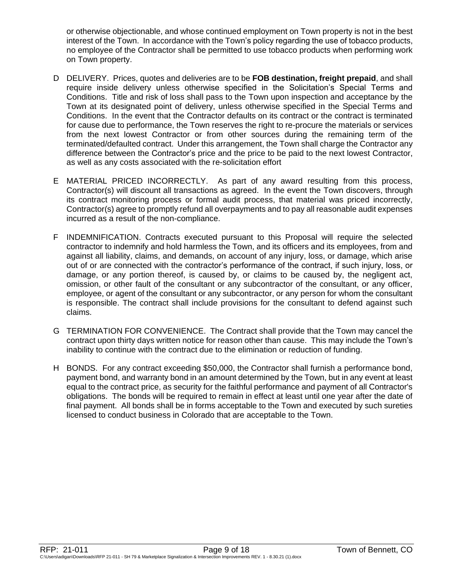or otherwise objectionable, and whose continued employment on Town property is not in the best interest of the Town. In accordance with the Town's policy regarding the use of tobacco products, no employee of the Contractor shall be permitted to use tobacco products when performing work on Town property.

- D DELIVERY. Prices, quotes and deliveries are to be **FOB destination, freight prepaid**, and shall require inside delivery unless otherwise specified in the Solicitation's Special Terms and Conditions. Title and risk of loss shall pass to the Town upon inspection and acceptance by the Town at its designated point of delivery, unless otherwise specified in the Special Terms and Conditions. In the event that the Contractor defaults on its contract or the contract is terminated for cause due to performance, the Town reserves the right to re-procure the materials or services from the next lowest Contractor or from other sources during the remaining term of the terminated/defaulted contract. Under this arrangement, the Town shall charge the Contractor any difference between the Contractor's price and the price to be paid to the next lowest Contractor, as well as any costs associated with the re-solicitation effort
- E MATERIAL PRICED INCORRECTLY. As part of any award resulting from this process, Contractor(s) will discount all transactions as agreed. In the event the Town discovers, through its contract monitoring process or formal audit process, that material was priced incorrectly, Contractor(s) agree to promptly refund all overpayments and to pay all reasonable audit expenses incurred as a result of the non-compliance.
- F INDEMNIFICATION. Contracts executed pursuant to this Proposal will require the selected contractor to indemnify and hold harmless the Town, and its officers and its employees, from and against all liability, claims, and demands, on account of any injury, loss, or damage, which arise out of or are connected with the contractor's performance of the contract, if such injury, loss, or damage, or any portion thereof, is caused by, or claims to be caused by, the negligent act, omission, or other fault of the consultant or any subcontractor of the consultant, or any officer, employee, or agent of the consultant or any subcontractor, or any person for whom the consultant is responsible. The contract shall include provisions for the consultant to defend against such claims.
- G TERMINATION FOR CONVENIENCE. The Contract shall provide that the Town may cancel the contract upon thirty days written notice for reason other than cause. This may include the Town's inability to continue with the contract due to the elimination or reduction of funding.
- H BONDS. For any contract exceeding \$50,000, the Contractor shall furnish a performance bond, payment bond, and warranty bond in an amount determined by the Town, but in any event at least equal to the contract price, as security for the faithful performance and payment of all Contractor's obligations. The bonds will be required to remain in effect at least until one year after the date of final payment. All bonds shall be in forms acceptable to the Town and executed by such sureties licensed to conduct business in Colorado that are acceptable to the Town.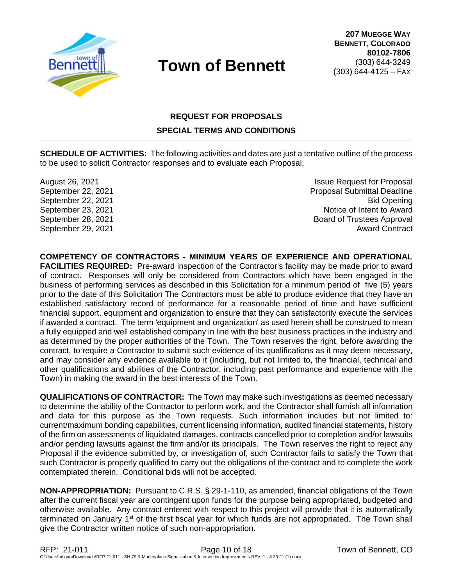

# **REQUEST FOR PROPOSALS SPECIAL TERMS AND CONDITIONS**

**SCHEDULE OF ACTIVITIES:** The following activities and dates are just a tentative outline of the process to be used to solicit Contractor responses and to evaluate each Proposal.

August 26, 2021 **Issue Request for Proposal** September 22, 2021 Proposal Submittal Deadline September 22, 2021 Bid Opening September 23, 2021 **Notice of Intent to Award** September 28, 2021 **Board of Trustees Approval** September 29, 2021 **Award Contract Award Contract Award Contract** 

**COMPETENCY OF CONTRACTORS - MINIMUM YEARS OF EXPERIENCE AND OPERATIONAL FACILITIES REQUIRED:** Pre-award inspection of the Contractor's facility may be made prior to award of contract. Responses will only be considered from Contractors which have been engaged in the business of performing services as described in this Solicitation for a minimum period of five (5) years prior to the date of this Solicitation The Contractors must be able to produce evidence that they have an established satisfactory record of performance for a reasonable period of time and have sufficient financial support, equipment and organization to ensure that they can satisfactorily execute the services if awarded a contract. The term 'equipment and organization' as used herein shall be construed to mean a fully equipped and well established company in line with the best business practices in the industry and as determined by the proper authorities of the Town. The Town reserves the right, before awarding the contract, to require a Contractor to submit such evidence of its qualifications as it may deem necessary, and may consider any evidence available to it (including, but not limited to, the financial, technical and other qualifications and abilities of the Contractor, including past performance and experience with the Town) in making the award in the best interests of the Town.

**QUALIFICATIONS OF CONTRACTOR:** The Town may make such investigations as deemed necessary to determine the ability of the Contractor to perform work, and the Contractor shall furnish all information and data for this purpose as the Town requests. Such information includes but not limited to: current/maximum bonding capabilities, current licensing information, audited financial statements, history of the firm on assessments of liquidated damages, contracts cancelled prior to completion and/or lawsuits and/or pending lawsuits against the firm and/or its principals. The Town reserves the right to reject any Proposal if the evidence submitted by, or investigation of, such Contractor fails to satisfy the Town that such Contractor is properly qualified to carry out the obligations of the contract and to complete the work contemplated therein. Conditional bids will not be accepted.

**NON-APPROPRIATION:** Pursuant to C.R.S. § 29-1-110, as amended, financial obligations of the Town after the current fiscal year are contingent upon funds for the purpose being appropriated, budgeted and otherwise available. Any contract entered with respect to this project will provide that it is automatically terminated on January 1st of the first fiscal year for which funds are not appropriated. The Town shall give the Contractor written notice of such non-appropriation.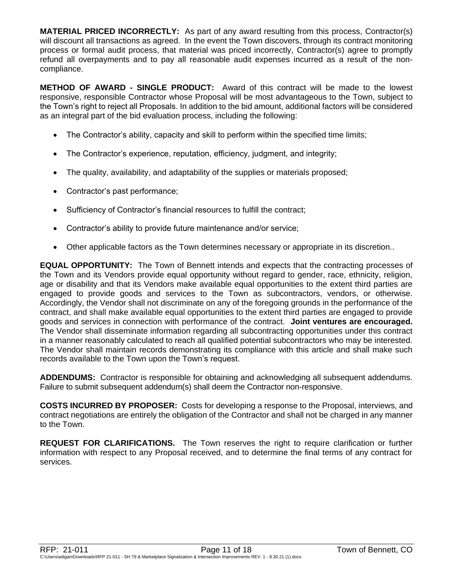**MATERIAL PRICED INCORRECTLY:** As part of any award resulting from this process, Contractor(s) will discount all transactions as agreed. In the event the Town discovers, through its contract monitoring process or formal audit process, that material was priced incorrectly, Contractor(s) agree to promptly refund all overpayments and to pay all reasonable audit expenses incurred as a result of the noncompliance.

**METHOD OF AWARD - SINGLE PRODUCT:** Award of this contract will be made to the lowest responsive, responsible Contractor whose Proposal will be most advantageous to the Town, subject to the Town's right to reject all Proposals. In addition to the bid amount, additional factors will be considered as an integral part of the bid evaluation process, including the following:

- The Contractor's ability, capacity and skill to perform within the specified time limits;
- The Contractor's experience, reputation, efficiency, judgment, and integrity;
- The quality, availability, and adaptability of the supplies or materials proposed;
- Contractor's past performance;
- Sufficiency of Contractor's financial resources to fulfill the contract;
- Contractor's ability to provide future maintenance and/or service;
- Other applicable factors as the Town determines necessary or appropriate in its discretion..

**EQUAL OPPORTUNITY:** The Town of Bennett intends and expects that the contracting processes of the Town and its Vendors provide equal opportunity without regard to gender, race, ethnicity, religion, age or disability and that its Vendors make available equal opportunities to the extent third parties are engaged to provide goods and services to the Town as subcontractors, vendors, or otherwise. Accordingly, the Vendor shall not discriminate on any of the foregoing grounds in the performance of the contract, and shall make available equal opportunities to the extent third parties are engaged to provide goods and services in connection with performance of the contract. **Joint ventures are encouraged.** The Vendor shall disseminate information regarding all subcontracting opportunities under this contract in a manner reasonably calculated to reach all qualified potential subcontractors who may be interested. The Vendor shall maintain records demonstrating its compliance with this article and shall make such records available to the Town upon the Town's request.

**ADDENDUMS:** Contractor is responsible for obtaining and acknowledging all subsequent addendums. Failure to submit subsequent addendum(s) shall deem the Contractor non-responsive.

**COSTS INCURRED BY PROPOSER:** Costs for developing a response to the Proposal, interviews, and contract negotiations are entirely the obligation of the Contractor and shall not be charged in any manner to the Town.

**REQUEST FOR CLARIFICATIONS.** The Town reserves the right to require clarification or further information with respect to any Proposal received, and to determine the final terms of any contract for services.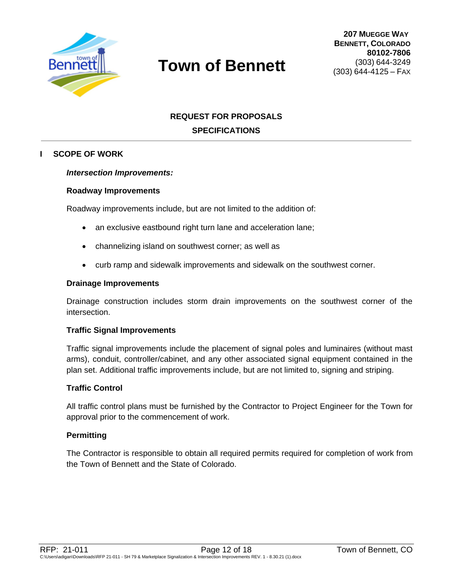

# **REQUEST FOR PROPOSALS SPECIFICATIONS**

#### **I SCOPE OF WORK**

#### *Intersection Improvements:*

#### **Roadway Improvements**

Roadway improvements include, but are not limited to the addition of:

- an exclusive eastbound right turn lane and acceleration lane;
- channelizing island on southwest corner; as well as
- curb ramp and sidewalk improvements and sidewalk on the southwest corner.

#### **Drainage Improvements**

Drainage construction includes storm drain improvements on the southwest corner of the intersection.

#### **Traffic Signal Improvements**

Traffic signal improvements include the placement of signal poles and luminaires (without mast arms), conduit, controller/cabinet, and any other associated signal equipment contained in the plan set. Additional traffic improvements include, but are not limited to, signing and striping.

#### **Traffic Control**

All traffic control plans must be furnished by the Contractor to Project Engineer for the Town for approval prior to the commencement of work.

#### **Permitting**

The Contractor is responsible to obtain all required permits required for completion of work from the Town of Bennett and the State of Colorado.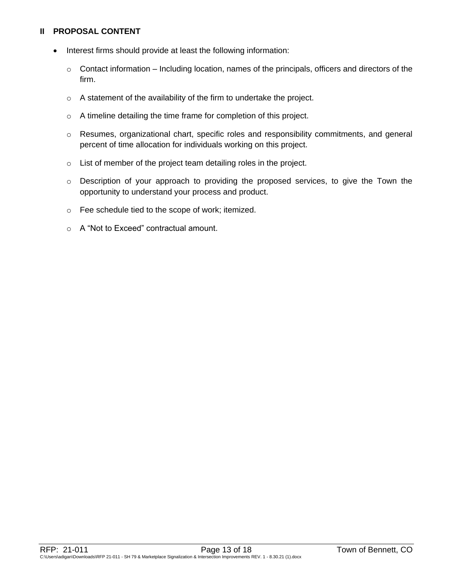### **II PROPOSAL CONTENT**

- Interest firms should provide at least the following information:
	- $\circ$  Contact information Including location, names of the principals, officers and directors of the firm.
	- o A statement of the availability of the firm to undertake the project.
	- o A timeline detailing the time frame for completion of this project.
	- o Resumes, organizational chart, specific roles and responsibility commitments, and general percent of time allocation for individuals working on this project.
	- o List of member of the project team detailing roles in the project.
	- o Description of your approach to providing the proposed services, to give the Town the opportunity to understand your process and product.
	- o Fee schedule tied to the scope of work; itemized.
	- o A "Not to Exceed" contractual amount.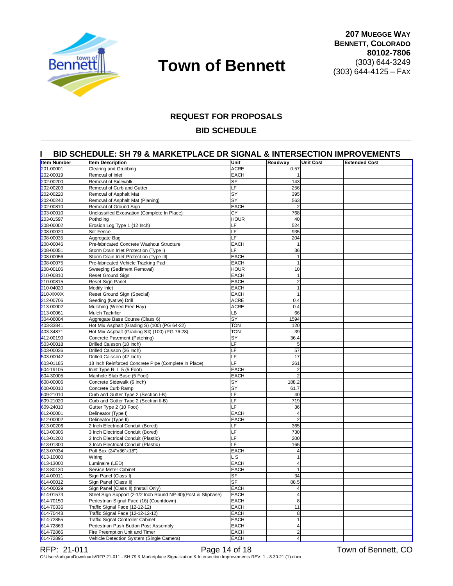

#### **REQUEST FOR PROPOSALS**

#### **BID SCHEDULE**

#### **I BID SCHEDULE: SH 79 & MARKETPLACE DR SIGNAL & INTERSECTION IMPROVEMENTS**

| Item Number | <b>Item Description</b>                                      | Unit        | Roadway        | <b>Unit Cost</b> | <b>Extended Cost</b> |
|-------------|--------------------------------------------------------------|-------------|----------------|------------------|----------------------|
| 201-00001   | Clearing and Grubbing                                        | <b>ACRE</b> | 0.57           |                  |                      |
| 202-00019   | Removal of Inlet                                             | <b>EACH</b> | $\mathbf{1}$   |                  |                      |
| 202-00200   | Removal of Sidewalk                                          | SY          | 143            |                  |                      |
| 202-00203   | Removal of Curb and Gutter                                   | LF          | 256            |                  |                      |
| 202-00220   | Removal of Asphalt Mat                                       | SY          | 395            |                  |                      |
| 202-00240   | Removal of Asphalt Mat (Planing)                             | SY          | 563            |                  |                      |
| 202-00810   | Removal of Ground Sign                                       | <b>EACH</b> | $\overline{2}$ |                  |                      |
| 203-00010   | Unclassified Excavation (Complete In Place)                  | CY          | 768            |                  |                      |
| 203-01597   | Potholing                                                    | <b>HOUR</b> | 40             |                  |                      |
| 208-00002   | Erosion Log Type 1 (12 Inch)                                 | LF          | 524            |                  |                      |
| 208-00020   | Silt Fence                                                   | LF          | 935            |                  |                      |
| 208-00035   | Aggregate Bag                                                | LF          | 204            |                  |                      |
| 208-00046   | Pre-fabricated Concrete Washout Structure                    | <b>EACH</b> | $\mathbf{1}$   |                  |                      |
| 208-00051   | Storm Drain Inlet Protection (Type I)                        | LF          | 36             |                  |                      |
| 208-00056   | Storm Drain Inlet Protection (Type III)                      | <b>EACH</b> | $\mathbf{1}$   |                  |                      |
| 208-00075   | Pre-fabricated Vehicle Tracking Pad                          | <b>EACH</b> | $\mathbf{1}$   |                  |                      |
| 208-00106   | Sweeping (Sediment Removal)                                  | <b>HOUR</b> | 10             |                  |                      |
| 210-00810   | <b>Reset Ground Sign</b>                                     | <b>EACH</b> | $\mathbf{1}$   |                  |                      |
| 210-00815   | Reset Sign Panel                                             | <b>EACH</b> | $\overline{2}$ |                  |                      |
| 210-04020   | Modify Inlet                                                 | <b>EACH</b> | 1              |                  |                      |
| 210-XXXXX   | Reset Ground Sign (Special)                                  | <b>EACH</b> | 1              |                  |                      |
| 212-00706   | Seeding (Native) Drill                                       | <b>ACRE</b> | 0.4            |                  |                      |
| 213-00002   | Mulching (Weed Free Hay)                                     | <b>ACRE</b> | 0.4            |                  |                      |
| 213-00061   | <b>Mulch Tackifier</b>                                       | LВ          | 66             |                  |                      |
| 304-06004   | Aggregate Base Course (Class 6)                              | SY          | 1594           |                  |                      |
| 403-33841   | Hot Mix Asphalt (Grading S) (100) (PG 64-22)                 | <b>TON</b>  | 120            |                  |                      |
| 403-34871   | Hot Mix Asphalt (Grading SX) (100) (PG 76-28)                | <b>TON</b>  | 39             |                  |                      |
| 412-00190   | Concrete Pavement (Patching)                                 | SY          | 36.4           |                  |                      |
| 503-00018   | Drilled Caisson (18 Inch)                                    | LF          | 5              |                  |                      |
| 503-00036   | Drilled Caisson (36 Inch)                                    | LF          | 57             |                  |                      |
| 503-00042   | Drilled Caisson (42 Inch)                                    | LF          | 17             |                  |                      |
| 603-01185   | 18 Inch Reinforced Concrete Pipe (Complete In Place)         | LF          | 261            |                  |                      |
| 604-19105   | Inlet Type $R L 5$ (5 Foot)                                  | <b>EACH</b> | $\overline{2}$ |                  |                      |
| 604-30005   | Manhole Slab Base (5 Foot)                                   | <b>EACH</b> | $\overline{2}$ |                  |                      |
| 608-00006   | Concrete Sidewalk (6 Inch)                                   | SY          | 188.2          |                  |                      |
| 608-00010   | Concrete Curb Ramp                                           | SY          | 61.7           |                  |                      |
| 609-21010   | Curb and Gutter Type 2 (Section I-B)                         | LF          | 40             |                  |                      |
| 609-21020   | Curb and Gutter Type 2 (Section II-B)                        | LF          | 719            |                  |                      |
| 609-24010   | Gutter Type 2 (10 Foot)                                      | LF          | 36             |                  |                      |
| 612-00001   | Delineator (Type I)                                          | <b>EACH</b> | $\overline{4}$ |                  |                      |
| 612-00002   | Delineator (Type II)                                         | <b>EACH</b> | $\overline{2}$ |                  |                      |
| 613-00206   | 2 Inch Electrical Conduit (Bored)                            | LF          | 365            |                  |                      |
| 613-00306   | 3 Inch Electrical Conduit (Bored)                            | LF          | 730            |                  |                      |
| 613-01200   | 2 Inch Electrical Conduit (Plastic)                          | LF          | 200            |                  |                      |
| 613-01300   | 3 Inch Electrical Conduit (Plastic)                          | LF          | 165            |                  |                      |
| 613-07034   | Pull Box (24"x36"x18")                                       | <b>EACH</b> | $\overline{4}$ |                  |                      |
| 613-10000   | Wiring                                                       | L S         | $\mathbf{1}$   |                  |                      |
| 613-13000   | Luminaire (LED)                                              | <b>EACH</b> | $\overline{4}$ |                  |                      |
| 613-80130   | Service Meter Cabinet                                        | <b>EACH</b> | 1              |                  |                      |
| 614-00011   | Sign Panel (Class I)                                         | ъ⊧          | 34             |                  |                      |
| 614-00012   | Sign Panel (Class II)                                        | <b>SF</b>   | 88.5           |                  |                      |
| 614-00029   | Sign Panel (Class II) (Install Only)                         | <b>EACH</b> |                |                  |                      |
| 614-01573   | Steel Sign Support (2-1/2 Inch Round NP-40)(Post & Slipbase) | <b>EACH</b> | $\overline{4}$ |                  |                      |
| 614-70150   | Pedestrian Signal Face (16) (Countdown)                      | <b>EACH</b> | 8              |                  |                      |
| 614-70336   | Traffic Signal Face (12-12-12)                               | <b>EACH</b> | 11             |                  |                      |
| 614-70448   | Traffic Signal Face (12-12-12-12)                            | <b>EACH</b> | 8              |                  |                      |
| 614-72855   | <b>Traffic Signal Controller Cabinet</b>                     | EACH        | $\mathbf{1}$   |                  |                      |
| 614-72863   | Pedestrian Push Button Post Assembly                         | <b>EACH</b> | $\overline{4}$ |                  |                      |
| 614-72866   | Fire Preemption Unit and Timer                               | <b>EACH</b> | $\overline{2}$ |                  |                      |
| 614-72895   | Vehicle Detection System (Single Camera)                     | <b>EACH</b> | 4 <sup>1</sup> |                  |                      |

RFP: 21-011 **Page 14 of 18** Town of Bennett, CO C:\Users\adigan\Downloads\RFP 21-011 - SH 79 & Marketplace Signalization & Intersection Improvements REV. 1 - 8.30.21 (1).docx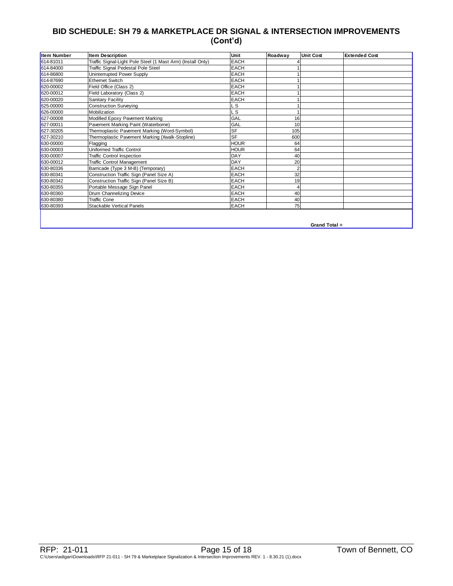## **BID SCHEDULE: SH 79 & MARKETPLACE DR SIGNAL & INTERSECTION IMPROVEMENTS (Cont'd)**

| Item Number | <b>Item Description</b>                                     | Unit        | Roadway | <b>Unit Cost</b> | <b>Extended Cost</b> |
|-------------|-------------------------------------------------------------|-------------|---------|------------------|----------------------|
| 614-81011   | Traffic Signal-Light Pole Steel (1 Mast Arm) (Install Only) | <b>EACH</b> |         |                  |                      |
| 614-84000   | Traffic Signal Pedestal Pole Steel                          | <b>EACH</b> |         |                  |                      |
| 614-86800   | Uninterrupted Power Supply                                  | <b>EACH</b> |         |                  |                      |
| 614-87690   | <b>Ethernet Switch</b>                                      | <b>EACH</b> |         |                  |                      |
| 620-00002   | Field Office (Class 2)                                      | <b>EACH</b> |         |                  |                      |
| 620-00012   | Field Laboratory (Class 2)                                  | <b>EACH</b> |         |                  |                      |
| 620-00020   | Sanitary Facility                                           | <b>EACH</b> |         |                  |                      |
| 625-00000   | <b>Construction Surveying</b>                               | .S          |         |                  |                      |
| 626-00000   | Mobilization                                                | S           |         |                  |                      |
| 627-00008   | Modified Epoxy Pavement Marking                             | GAL         | 16      |                  |                      |
| 627-00011   | Pavement Marking Paint (Waterborne)                         | GAL         | 10      |                  |                      |
| 627-30205   | Thermoplastic Pavement Marking (Word-Symbol)                | <b>SF</b>   | 105     |                  |                      |
| 627-30210   | Thermoplastic Pavement Marking (Xwalk-Stopline)             | <b>SF</b>   | 600     |                  |                      |
| 630-00000   | Flagging                                                    | <b>HOUR</b> | 64      |                  |                      |
| 630-00003   | Uniformed Traffic Control                                   | HOUR        | 64      |                  |                      |
| 630-00007   | <b>Traffic Control Inspection</b>                           | <b>DAY</b>  | 40      |                  |                      |
| 630-00012   | <b>Traffic Control Management</b>                           | <b>DAY</b>  | 20      |                  |                      |
| 630-80336   | Barricade (Type 3 M-B) (Temporary)                          | <b>EACH</b> |         |                  |                      |
| 630-80341   | Construction Traffic Sign (Panel Size A)                    | <b>EACH</b> | 32      |                  |                      |
| 630-80342   | Construction Traffic Sign (Panel Size B)                    | EACH        | 19      |                  |                      |
| 630-80355   | Portable Message Sign Panel                                 | <b>EACH</b> |         |                  |                      |
| 630-80360   | Drum Channelizing Device                                    | <b>EACH</b> | 40      |                  |                      |
| 630-80380   | <b>Traffic Cone</b>                                         | <b>EACH</b> | 40      |                  |                      |
| 630-80393   | <b>Stackable Vertical Panels</b>                            | <b>EACH</b> | 75      |                  |                      |
|             |                                                             |             |         |                  |                      |

**Grand Total =**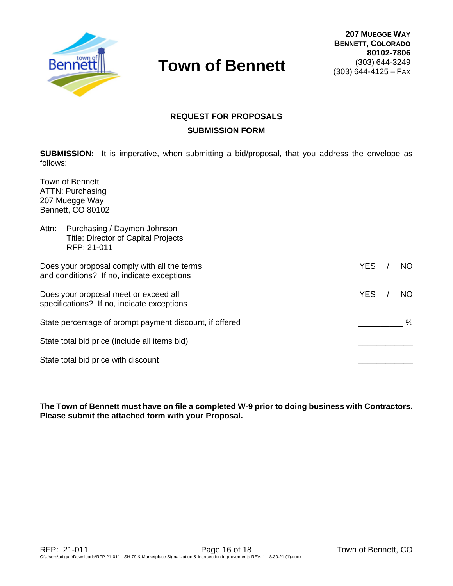

# **REQUEST FOR PROPOSALS SUBMISSION FORM**

**SUBMISSION:** It is imperative, when submitting a bid/proposal, that you address the envelope as follows:

Town of Bennett ATTN: Purchasing 207 Muegge Way Bennett, CO 80102

| Attn:<br>Purchasing / Daymon Johnson<br><b>Title: Director of Capital Projects</b><br>RFP: 21-011 |                   |
|---------------------------------------------------------------------------------------------------|-------------------|
| Does your proposal comply with all the terms<br>and conditions? If no, indicate exceptions        | <b>YES</b><br>NO  |
| Does your proposal meet or exceed all<br>specifications? If no, indicate exceptions               | <b>YES</b><br>NO. |
| State percentage of prompt payment discount, if offered                                           | $\%$              |
| State total bid price (include all items bid)                                                     |                   |
| State total bid price with discount                                                               |                   |

**The Town of Bennett must have on file a completed W-9 prior to doing business with Contractors. Please submit the attached form with your Proposal.**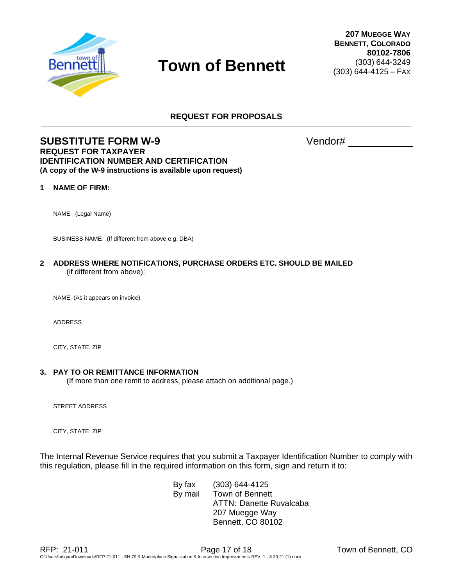

**REQUEST FOR PROPOSALS**

### **SUBSTITUTE FORM W-9** Vendor# **REQUEST FOR TAXPAYER IDENTIFICATION NUMBER AND CERTIFICATION (A copy of the W-9 instructions is available upon request)**

#### **1 NAME OF FIRM:**

NAME (Legal Name)

BUSINESS NAME (If different from above e.g. DBA)

**2 ADDRESS WHERE NOTIFICATIONS, PURCHASE ORDERS ETC. SHOULD BE MAILED** (if different from above):

NAME (As it appears on invoice)

ADDRESS

CITY, STATE, ZIP

#### **3. PAY TO OR REMITTANCE INFORMATION**

(If more than one remit to address, please attach on additional page.)

STREET ADDRESS

CITY, STATE, ZIP

The Internal Revenue Service requires that you submit a Taxpayer Identification Number to comply with this regulation, please fill in the required information on this form, sign and return it to:

> By fax (303) 644-4125 By mail Town of Bennett ATTN: Danette Ruvalcaba 207 Muegge Way Bennett, CO 80102